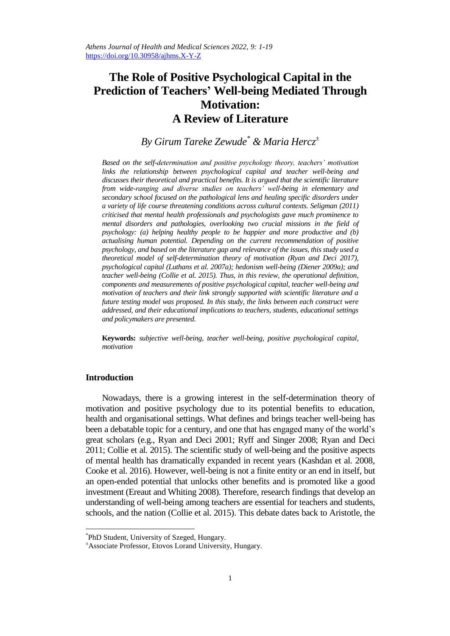# **The Role of Positive Psychological Capital in the Prediction of Teachers' Well-being Mediated Through Motivation: A Review of Literature**

## *By Girum Tareke Zewude\* & Maria Hercz<sup>±</sup>*

*Based on the self-determination and positive psychology theory, teachers' motivation links the relationship between psychological capital and teacher well-being and discusses their theoretical and practical benefits. It is argued that the scientific literature from wide-ranging and diverse studies on teachers' well-being in elementary and secondary school focused on the pathological lens and healing specific disorders under a variety of life course threatening conditions across cultural contexts. Seligman (2011) criticised that mental health professionals and psychologists gave much prominence to mental disorders and pathologies, overlooking two crucial missions in the field of psychology: (a) helping healthy people to be happier and more productive and (b) actualising human potential. Depending on the current recommendation of positive psychology, and based on the literature gap and relevance of the issues, this study used a theoretical model of self-determination theory of motivation (Ryan and Deci 2017), psychological capital (Luthans et al. 2007a); hedonism well-being (Diener 2009a); and teacher well-being (Collie et al. 2015). Thus, in this review, the operational definition, components and measurements of positive psychological capital, teacher well-being and motivation of teachers and their link strongly supported with scientific literature and a future testing model was proposed. In this study, the links between each construct were addressed, and their educational implications to teachers, students, educational settings and policymakers are presented.* 

**Keywords:** *subjective well-being, teacher well-being, positive psychological capital, motivation*

## **Introduction**

 $\overline{\phantom{a}}$ 

Nowadays, there is a growing interest in the self-determination theory of motivation and positive psychology due to its potential benefits to education, health and organisational settings. What defines and brings teacher well-being has been a debatable topic for a century, and one that has engaged many of the world"s great scholars (e.g., Ryan and Deci 2001; Ryff and Singer 2008; Ryan and Deci 2011; Collie et al. 2015). The scientific study of well-being and the positive aspects of mental health has dramatically expanded in recent years (Kashdan et al. 2008, Cooke et al. 2016). However, well-being is not a finite entity or an end in itself, but an open-ended potential that unlocks other benefits and is promoted like a good investment (Ereaut and Whiting 2008). Therefore, research findings that develop an understanding of well-being among teachers are essential for teachers and students, schools, and the nation (Collie et al. 2015). This debate dates back to Aristotle, the

<sup>\*</sup> PhD Student, University of Szeged, Hungary.

<sup>±</sup>Associate Professor, Etovos Lorand University, Hungary.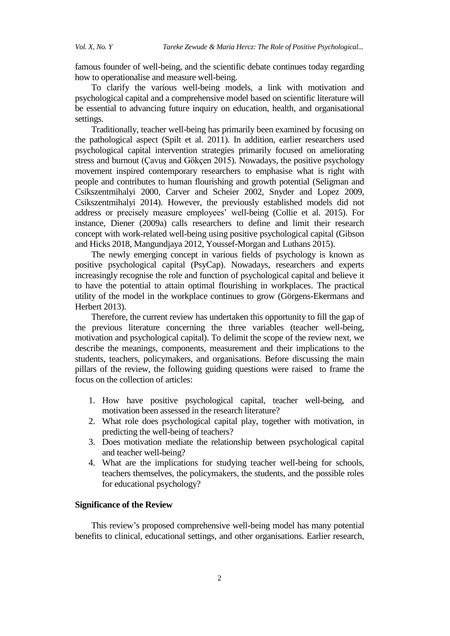famous founder of well-being, and the scientific debate continues today regarding how to operationalise and measure well-being.

To clarify the various well-being models, a link with motivation and psychological capital and a comprehensive model based on scientific literature will be essential to advancing future inquiry on education, health, and organisational settings.

Traditionally, teacher well-being has primarily been examined by focusing on the pathological aspect (Spilt et al. 2011). In addition, earlier researchers used psychological capital intervention strategies primarily focused on ameliorating stress and burnout (Çavuş and Gökçen 2015). Nowadays, the positive psychology movement inspired contemporary researchers to emphasise what is right with people and contributes to human flourishing and growth potential (Seligman and Csikszentmihalyi 2000, Carver and Scheier 2002, Snyder and Lopez 2009, Csikszentmihalyi 2014). However, the previously established models did not address or precisely measure employees' well-being (Collie et al. 2015). For instance, Diener (2009a) calls researchers to define and limit their research concept with work-related well-being using positive psychological capital (Gibson and Hicks 2018, Mangundjaya 2012, Youssef-Morgan and Luthans 2015).

The newly emerging concept in various fields of psychology is known as positive psychological capital (PsyCap). Nowadays, researchers and experts increasingly recognise the role and function of psychological capital and believe it to have the potential to attain optimal flourishing in workplaces. The practical utility of the model in the workplace continues to grow (Görgens-Ekermans and Herbert 2013).

Therefore, the current review has undertaken this opportunity to fill the gap of the previous literature concerning the three variables (teacher well-being, motivation and psychological capital). To delimit the scope of the review next, we describe the meanings, components, measurement and their implications to the students, teachers, policymakers, and organisations. Before discussing the main pillars of the review, the following guiding questions were raised to frame the focus on the collection of articles:

- 1. How have positive psychological capital, teacher well-being, and motivation been assessed in the research literature?
- 2. What role does psychological capital play, together with motivation, in predicting the well-being of teachers?
- 3. Does motivation mediate the relationship between psychological capital and teacher well-being?
- 4. What are the implications for studying teacher well-being for schools, teachers themselves, the policymakers, the students, and the possible roles for educational psychology?

## **Significance of the Review**

This review"s proposed comprehensive well-being model has many potential benefits to clinical, educational settings, and other organisations. Earlier research,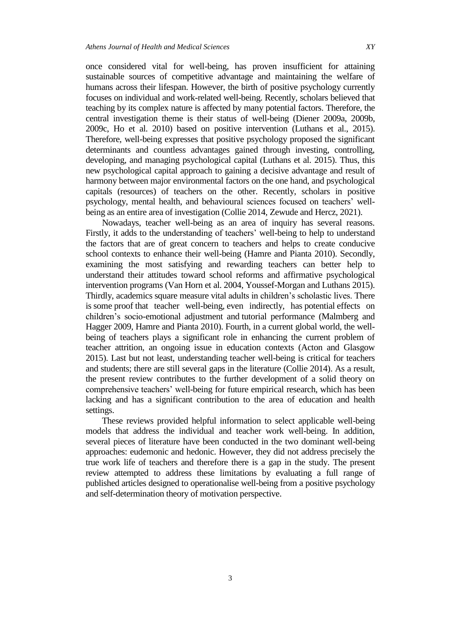once considered vital for well-being, has proven insufficient for attaining sustainable sources of competitive advantage and maintaining the welfare of humans across their lifespan. However, the birth of positive psychology currently focuses on individual and work-related well-being. Recently, scholars believed that teaching by its complex nature is affected by many potential factors. Therefore, the central investigation theme is their status of well-being (Diener 2009a, 2009b, 2009c, Ho et al. 2010) based on positive intervention (Luthans et al., 2015). Therefore, well-being expresses that positive psychology proposed the significant determinants and countless advantages gained through investing, controlling, developing, and managing psychological capital (Luthans et al. 2015). Thus, this new psychological capital approach to gaining a decisive advantage and result of harmony between major environmental factors on the one hand, and psychological capitals (resources) of teachers on the other. Recently, scholars in positive psychology, mental health, and behavioural sciences focused on teachers' wellbeing as an entire area of investigation (Collie 2014, Zewude and Hercz, 2021).

Nowadays, teacher well-being as an area of inquiry has several reasons. Firstly, it adds to the understanding of teachers' well-being to help to understand the factors that are of great concern to teachers and helps to create conducive school contexts to enhance their well-being (Hamre and Pianta 2010). Secondly, examining the most satisfying and rewarding teachers can better help to understand their attitudes toward school reforms and affirmative psychological intervention programs (Van Horn et al. 2004, Youssef-Morgan and Luthans 2015). Thirdly, academics square measure vital adults in children"s scholastic lives. There is some proof that teacher well-being, even indirectly, has potential effects on children"s socio-emotional adjustment and tutorial performance (Malmberg and Hagger 2009, Hamre and Pianta 2010). Fourth, in a current global world, the wellbeing of teachers plays a significant role in enhancing the current problem of teacher attrition, an ongoing issue in education contexts (Acton and Glasgow 2015). Last but not least, understanding teacher well-being is critical for teachers and students; there are still several gaps in the literature (Collie 2014). As a result, the present review contributes to the further development of a solid theory on comprehensive teachers" well-being for future empirical research, which has been lacking and has a significant contribution to the area of education and health settings.

These reviews provided helpful information to select applicable well-being models that address the individual and teacher work well-being. In addition, several pieces of literature have been conducted in the two dominant well-being approaches: eudemonic and hedonic. However, they did not address precisely the true work life of teachers and therefore there is a gap in the study. The present review attempted to address these limitations by evaluating a full range of published articles designed to operationalise well-being from a positive psychology and self-determination theory of motivation perspective.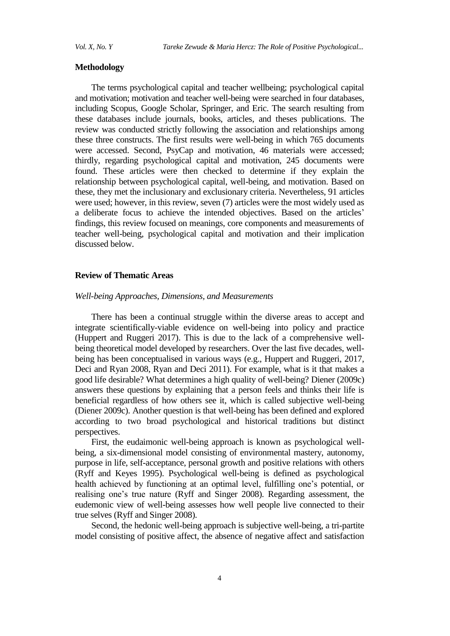#### **Methodology**

The terms psychological capital and teacher wellbeing; psychological capital and motivation; motivation and teacher well-being were searched in four databases, including Scopus, Google Scholar, Springer, and Eric. The search resulting from these databases include journals, books, articles, and theses publications. The review was conducted strictly following the association and relationships among these three constructs. The first results were well-being in which 765 documents were accessed. Second, PsyCap and motivation, 46 materials were accessed; thirdly, regarding psychological capital and motivation, 245 documents were found. These articles were then checked to determine if they explain the relationship between psychological capital, well-being, and motivation. Based on these, they met the inclusionary and exclusionary criteria. Nevertheless, 91 articles were used; however, in this review, seven (7) articles were the most widely used as a deliberate focus to achieve the intended objectives. Based on the articles" findings, this review focused on meanings, core components and measurements of teacher well-being, psychological capital and motivation and their implication discussed below.

#### **Review of Thematic Areas**

## *Well-being Approaches, Dimensions, and Measurements*

There has been a continual struggle within the diverse areas to accept and integrate scientifically-viable evidence on well-being into policy and practice (Huppert and Ruggeri 2017). This is due to the lack of a comprehensive wellbeing theoretical model developed by researchers. Over the last five decades, wellbeing has been conceptualised in various ways (e.g., Huppert and Ruggeri, 2017, Deci and Ryan 2008, Ryan and Deci 2011). For example, what is it that makes a good life desirable? What determines a high quality of well-being? Diener (2009c) answers these questions by explaining that a person feels and thinks their life is beneficial regardless of how others see it, which is called subjective well-being (Diener 2009c). Another question is that well-being has been defined and explored according to two broad psychological and historical traditions but distinct perspectives.

First, the eudaimonic well-being approach is known as psychological wellbeing, a six-dimensional model consisting of environmental mastery, autonomy, purpose in life, self-acceptance, personal growth and positive relations with others (Ryff and Keyes 1995). Psychological well-being is defined as psychological health achieved by functioning at an optimal level, fulfilling one"s potential, or realising one"s true nature (Ryff and Singer 2008). Regarding assessment, the eudemonic view of well-being assesses how well people live connected to their true selves (Ryff and Singer 2008).

Second, the hedonic well-being approach is subjective well-being, a tri-partite model consisting of positive affect, the absence of negative affect and satisfaction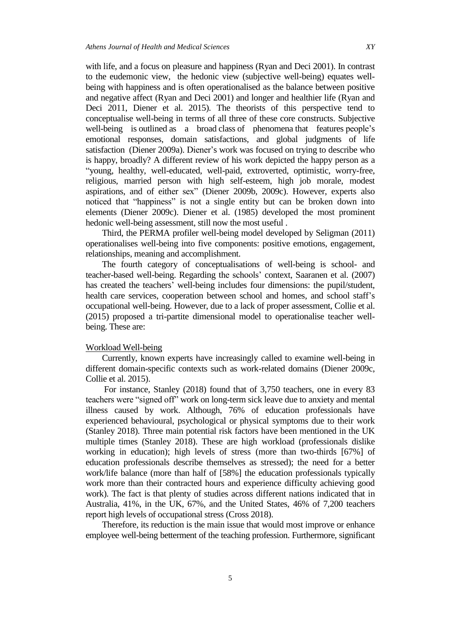with life, and a focus on pleasure and happiness (Ryan and Deci 2001). In contrast to the eudemonic view, the hedonic view (subjective well-being) equates wellbeing with happiness and is often operationalised as the balance between positive and negative affect (Ryan and Deci 2001) and longer and healthier life (Ryan and Deci 2011, Diener et al. 2015). The theorists of this perspective tend to conceptualise well-being in terms of all three of these core constructs. Subjective well-being is outlined as a broad class of phenomena that features people's emotional responses, domain satisfactions, and global judgments of life satisfaction (Diener 2009a). Diener"s work was focused on trying to describe who is happy, broadly? A different review of his work depicted the happy person as a "young, healthy, well-educated, well-paid, extroverted, optimistic, worry-free, religious, married person with high self-esteem, high job morale, modest aspirations, and of either sex" (Diener 2009b, 2009c). However, experts also noticed that "happiness" is not a single entity but can be broken down into elements (Diener 2009c). Diener et al. (1985) developed the most prominent hedonic well-being assessment, still now the most useful .

Third, the PERMA profiler well-being model developed by Seligman (2011) operationalises well-being into five components: positive emotions, engagement, relationships, meaning and accomplishment.

The fourth category of conceptualisations of well-being is school- and teacher-based well-being. Regarding the schools" context, Saaranen et al. (2007) has created the teachers' well-being includes four dimensions: the pupil/student, health care services, cooperation between school and homes, and school staff"s occupational well-being. However, due to a lack of proper assessment, Collie et al. (2015) proposed a tri-partite dimensional model to operationalise teacher wellbeing. These are:

#### Workload Well-being

Currently, known experts have increasingly called to examine well-being in different domain-specific contexts such as work-related domains (Diener 2009c, Collie et al. 2015).

For instance, Stanley (2018) found that of 3,750 teachers, one in every 83 teachers were "signed off" work on long-term sick leave due to anxiety and mental illness caused by work. Although, 76% of education professionals have experienced behavioural, psychological or physical symptoms due to their work (Stanley 2018). Three main potential risk factors have been mentioned in the UK multiple times (Stanley 2018). These are high workload (professionals dislike working in education); high levels of stress (more than two-thirds [67%] of education professionals describe themselves as stressed); the need for a better work/life balance (more than half of [58%] the education professionals typically work more than their contracted hours and experience difficulty achieving good work). The fact is that plenty of studies across different nations indicated that in Australia, 41%, in the UK, 67%, and the United States, 46% of 7,200 teachers report high levels of occupational stress (Cross 2018).

Therefore, its reduction is the main issue that would most improve or enhance employee well-being betterment of the teaching profession. Furthermore, significant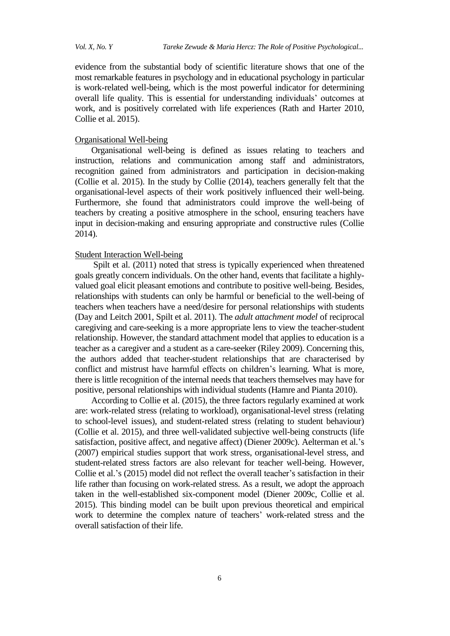evidence from the substantial body of scientific literature shows that one of the most remarkable features in psychology and in educational psychology in particular is work-related well-being, which is the most powerful indicator for determining overall life quality. This is essential for understanding individuals" outcomes at work, and is positively correlated with life experiences (Rath and Harter 2010, Collie et al. 2015).

## Organisational Well-being

Organisational well-being is defined as issues relating to teachers and instruction, relations and communication among staff and administrators, recognition gained from administrators and participation in decision-making (Collie et al. 2015). In the study by Collie (2014), teachers generally felt that the organisational-level aspects of their work positively influenced their well-being. Furthermore, she found that administrators could improve the well-being of teachers by creating a positive atmosphere in the school, ensuring teachers have input in decision-making and ensuring appropriate and constructive rules (Collie 2014).

## Student Interaction Well-being

Spilt et al. (2011) noted that stress is typically experienced when threatened goals greatly concern individuals. On the other hand, events that facilitate a highlyvalued goal elicit pleasant emotions and contribute to positive well-being. Besides, relationships with students can only be harmful or beneficial to the well-being of teachers when teachers have a need/desire for personal relationships with students (Day and Leitch 2001, Spilt et al. 2011). The *adult attachment model* of reciprocal caregiving and care-seeking is a more appropriate lens to view the teacher-student relationship. However, the standard attachment model that applies to education is a teacher as a caregiver and a student as a care-seeker (Riley 2009). Concerning this, the authors added that teacher-student relationships that are characterised by conflict and mistrust have harmful effects on children"s learning. What is more, there is little recognition of the internal needs that teachers themselves may have for positive, personal relationships with individual students (Hamre and Pianta 2010).

According to Collie et al. (2015), the three factors regularly examined at work are: work-related stress (relating to workload), organisational-level stress (relating to school-level issues), and student-related stress (relating to student behaviour) (Collie et al. 2015), and three well-validated subjective well-being constructs (life satisfaction, positive affect, and negative affect) (Diener 2009c). Aelterman et al."s (2007) empirical studies support that work stress, organisational-level stress, and student-related stress factors are also relevant for teacher well-being. However, Collie et al.'s (2015) model did not reflect the overall teacher's satisfaction in their life rather than focusing on work-related stress. As a result, we adopt the approach taken in the well-established six-component model (Diener 2009c, Collie et al. 2015). This binding model can be built upon previous theoretical and empirical work to determine the complex nature of teachers' work-related stress and the overall satisfaction of their life.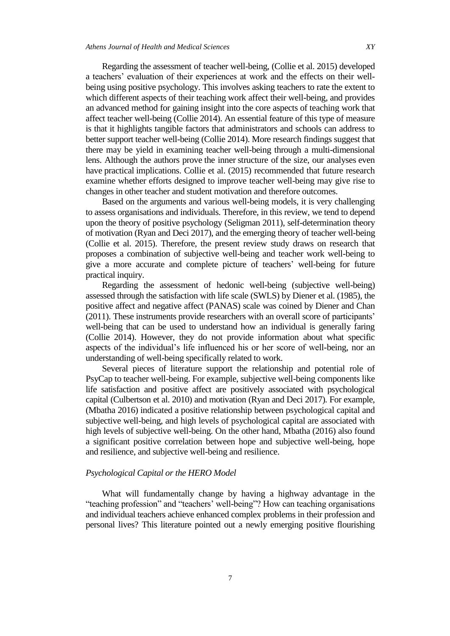Regarding the assessment of teacher well-being, (Collie et al. 2015) developed a teachers' evaluation of their experiences at work and the effects on their wellbeing using positive psychology. This involves asking teachers to rate the extent to which different aspects of their teaching work affect their well-being, and provides an advanced method for gaining insight into the core aspects of teaching work that affect teacher well-being (Collie 2014). An essential feature of this type of measure is that it highlights tangible factors that administrators and schools can address to better support teacher well-being (Collie 2014). More research findings suggest that there may be yield in examining teacher well-being through a multi-dimensional lens. Although the authors prove the inner structure of the size, our analyses even have practical implications. Collie et al. (2015) recommended that future research examine whether efforts designed to improve teacher well-being may give rise to changes in other teacher and student motivation and therefore outcomes.

Based on the arguments and various well-being models, it is very challenging to assess organisations and individuals. Therefore, in this review, we tend to depend upon the theory of positive psychology (Seligman 2011), self-determination theory of motivation (Ryan and Deci 2017), and the emerging theory of teacher well-being (Collie et al. 2015). Therefore, the present review study draws on research that proposes a combination of subjective well-being and teacher work well-being to give a more accurate and complete picture of teachers' well-being for future practical inquiry.

Regarding the assessment of hedonic well-being (subjective well-being) assessed through the satisfaction with life scale (SWLS) by Diener et al. (1985), the positive affect and negative affect (PANAS) scale was coined by Diener and Chan (2011). These instruments provide researchers with an overall score of participants" well-being that can be used to understand how an individual is generally faring (Collie 2014). However, they do not provide information about what specific aspects of the individual's life influenced his or her score of well-being, nor an understanding of well-being specifically related to work.

Several pieces of literature support the relationship and potential role of PsyCap to teacher well-being. For example, subjective well-being components like life satisfaction and positive affect are positively associated with psychological capital (Culbertson et al. 2010) and motivation (Ryan and Deci 2017). For example, (Mbatha 2016) indicated a positive relationship between psychological capital and subjective well-being, and high levels of psychological capital are associated with high levels of subjective well-being. On the other hand, Mbatha (2016) also found a significant positive correlation between hope and subjective well-being, hope and resilience, and subjective well-being and resilience.

#### *Psychological Capital or the HERO Model*

What will fundamentally change by having a highway advantage in the "teaching profession" and "teachers' well-being"? How can teaching organisations and individual teachers achieve enhanced complex problems in their profession and personal lives? This literature pointed out a newly emerging positive flourishing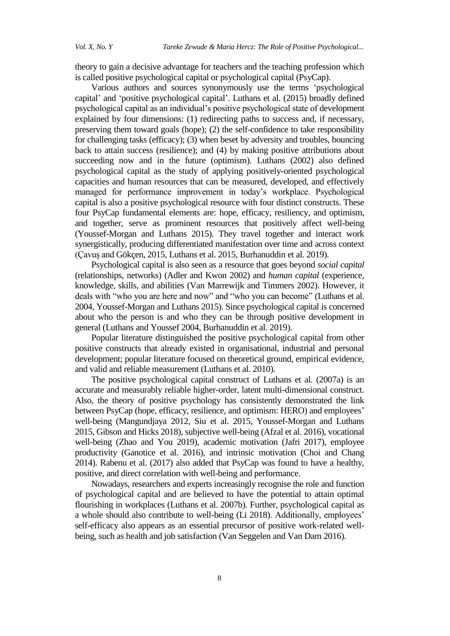theory to gain a decisive advantage for teachers and the teaching profession which is called positive psychological capital or psychological capital (PsyCap).

Various authors and sources synonymously use the terms "psychological capital" and "positive psychological capital". Luthans et al. (2015) broadly defined psychological capital as an individual"s positive psychological state of development explained by four dimensions: (1) redirecting paths to success and, if necessary, preserving them toward goals (hope); (2) the self-confidence to take responsibility for challenging tasks (efficacy); (3) when beset by adversity and troubles, bouncing back to attain success (resilience); and (4) by making positive attributions about succeeding now and in the future (optimism). Luthans (2002) also defined psychological capital as the study of applying positively-oriented psychological capacities and human resources that can be measured, developed, and effectively managed for performance improvement in today"s workplace. Psychological capital is also a positive psychological resource with four distinct constructs. These four PsyCap fundamental elements are: hope, efficacy, resiliency, and optimism, and together, serve as prominent resources that positively affect well-being (Youssef-Morgan and Luthans 2015). They travel together and interact work synergistically, producing differentiated manifestation over time and across context (Çavuş and Gökçen, 2015, Luthans et al. 2015, Burhanuddin et al. 2019).

Psychological capital is also seen as a resource that goes beyond *social capital* (relationships, networks) (Adler and Kwon 2002) and *human capital* (experience, knowledge, skills, and abilities (Van Marrewijk and Timmers 2002). However, it deals with "who you are here and now" and "who you can become" (Luthans et al. 2004, Youssef-Morgan and Luthans 2015). Since psychological capital is concerned about who the person is and who they can be through positive development in general (Luthans and Youssef 2004, Burhanuddin et al. 2019).

Popular literature distinguished the positive psychological capital from other positive constructs that already existed in organisational, industrial and personal development; popular literature focused on theoretical ground, empirical evidence, and valid and reliable measurement (Luthans et al. 2010).

The positive psychological capital construct of Luthans et al. (2007a) is an accurate and measurably reliable higher-order, latent multi-dimensional construct. Also, the theory of positive psychology has consistently demonstrated the link between PsyCap (hope, efficacy, resilience, and optimism: HERO) and employees' well-being (Mangundjaya 2012, Siu et al. 2015, Youssef-Morgan and Luthans 2015, Gibson and Hicks 2018), subjective well-being (Afzal et al. 2016), vocational well-being (Zhao and You 2019), academic motivation (Jafri 2017), employee productivity (Ganotice et al. 2016), and intrinsic motivation (Choi and Chang 2014). Rabenu et al. (2017) also added that PsyCap was found to have a healthy, positive, and direct correlation with well-being and performance.

Nowadays, researchers and experts increasingly recognise the role and function of psychological capital and are believed to have the potential to attain optimal flourishing in workplaces (Luthans et al. 2007b). Further, psychological capital as a whole should also contribute to well-being (Li 2018). Additionally, employees' self-efficacy also appears as an essential precursor of positive work-related wellbeing, such as health and job satisfaction (Van Seggelen and Van Dam 2016).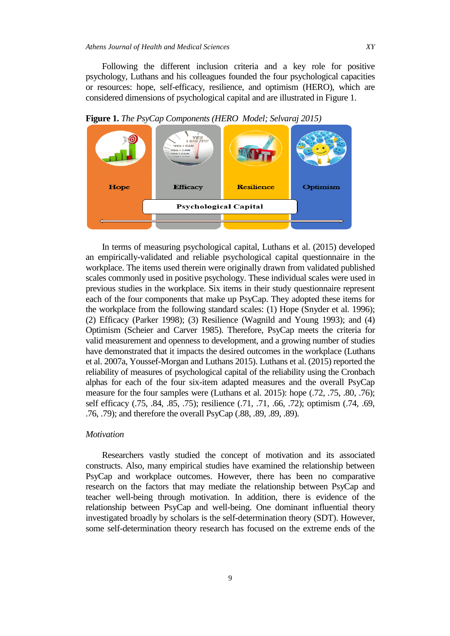Following the different inclusion criteria and a key role for positive psychology, Luthans and his colleagues founded the four psychological capacities or resources: hope, self-efficacy, resilience, and optimism (HERO), which are considered dimensions of psychological capital and are illustrated in Figure 1.



**Figure 1.** *The PsyCap Components (HERO Model; Selvaraj 2015)*

In terms of measuring psychological capital, Luthans et al. (2015) developed an empirically-validated and reliable psychological capital questionnaire in the workplace. The items used therein were originally drawn from validated published scales commonly used in positive psychology. These individual scales were used in previous studies in the workplace. Six items in their study questionnaire represent each of the four components that make up PsyCap. They adopted these items for the workplace from the following standard scales: (1) Hope (Snyder et al. 1996); (2) Efficacy (Parker 1998); (3) Resilience (Wagnild and Young 1993); and (4) Optimism (Scheier and Carver 1985). Therefore, PsyCap meets the criteria for valid measurement and openness to development, and a growing number of studies have demonstrated that it impacts the desired outcomes in the workplace (Luthans et al. 2007a, Youssef-Morgan and Luthans 2015). Luthans et al. (2015) reported the reliability of measures of psychological capital of the reliability using the Cronbach alphas for each of the four six-item adapted measures and the overall PsyCap measure for the four samples were (Luthans et al. 2015): hope (.72, .75, .80, .76); self efficacy (.75, .84, .85, .75); resilience (.71, .71, .66, .72); optimism (.74, .69, .76, .79); and therefore the overall PsyCap (.88, .89, .89, .89).

#### *Motivation*

Researchers vastly studied the concept of motivation and its associated constructs. Also, many empirical studies have examined the relationship between PsyCap and workplace outcomes. However, there has been no comparative research on the factors that may mediate the relationship between PsyCap and teacher well-being through motivation. In addition, there is evidence of the relationship between PsyCap and well-being. One dominant influential theory investigated broadly by scholars is the self-determination theory (SDT). However, some self-determination theory research has focused on the extreme ends of the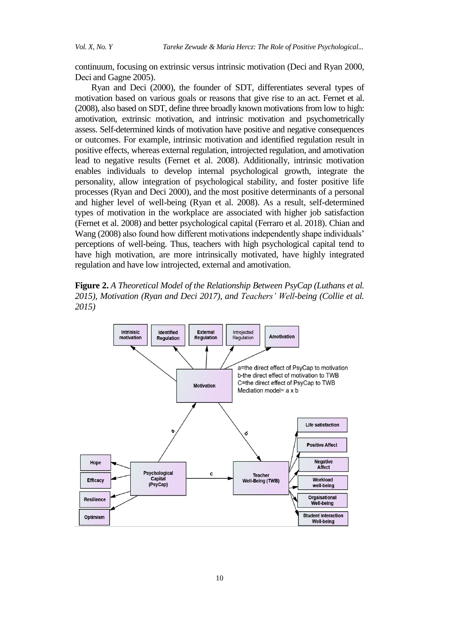continuum, focusing on extrinsic versus intrinsic motivation (Deci and Ryan 2000, Deci and Gagne 2005).

Ryan and Deci (2000), the founder of SDT, differentiates several types of motivation based on various goals or reasons that give rise to an act. Fernet et al. (2008), also based on SDT, define three broadly known motivations from low to high: amotivation, extrinsic motivation, and intrinsic motivation and psychometrically assess. Self-determined kinds of motivation have positive and negative consequences or outcomes. For example, intrinsic motivation and identified regulation result in positive effects, whereas external regulation, introjected regulation, and amotivation lead to negative results (Fernet et al. 2008). Additionally, intrinsic motivation enables individuals to develop internal psychological growth, integrate the personality, allow integration of psychological stability, and foster positive life processes (Ryan and Deci 2000), and the most positive determinants of a personal and higher level of well-being (Ryan et al. 2008). As a result, self-determined types of motivation in the workplace are associated with higher job satisfaction (Fernet et al. 2008) and better psychological capital (Ferraro et al. 2018). Chian and Wang (2008) also found how different motivations independently shape individuals' perceptions of well-being. Thus, teachers with high psychological capital tend to have high motivation, are more intrinsically motivated, have highly integrated regulation and have low introjected, external and amotivation.

**Figure 2.** *A Theoretical Model of the Relationship Between PsyCap (Luthans et al. 2015), Motivation (Ryan and Deci 2017), and Teachers' Well-being (Collie et al. 2015)*

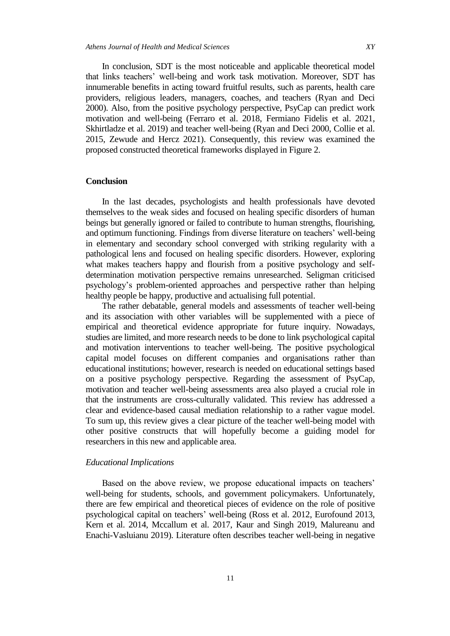In conclusion, SDT is the most noticeable and applicable theoretical model that links teachers" well-being and work task motivation. Moreover, SDT has innumerable benefits in acting toward fruitful results, such as parents, health care providers, religious leaders, managers, coaches, and teachers (Ryan and Deci 2000). Also, from the positive psychology perspective, PsyCap can predict work motivation and well-being (Ferraro et al. 2018, Fermiano Fidelis et al. 2021, Skhirtladze et al. 2019) and teacher well-being (Ryan and Deci 2000, Collie et al. 2015, Zewude and Hercz 2021). Consequently, this review was examined the proposed constructed theoretical frameworks displayed in Figure 2.

## **Conclusion**

In the last decades, psychologists and health professionals have devoted themselves to the weak sides and focused on healing specific disorders of human beings but generally ignored or failed to contribute to human strengths, flourishing, and optimum functioning. Findings from diverse literature on teachers' well-being in elementary and secondary school converged with striking regularity with a pathological lens and focused on healing specific disorders. However, exploring what makes teachers happy and flourish from a positive psychology and selfdetermination motivation perspective remains unresearched. Seligman criticised psychology"s problem-oriented approaches and perspective rather than helping healthy people be happy, productive and actualising full potential.

The rather debatable, general models and assessments of teacher well-being and its association with other variables will be supplemented with a piece of empirical and theoretical evidence appropriate for future inquiry. Nowadays, studies are limited, and more research needs to be done to link psychological capital and motivation interventions to teacher well-being. The positive psychological capital model focuses on different companies and organisations rather than educational institutions; however, research is needed on educational settings based on a positive psychology perspective. Regarding the assessment of PsyCap, motivation and teacher well-being assessments area also played a crucial role in that the instruments are cross-culturally validated. This review has addressed a clear and evidence-based causal mediation relationship to a rather vague model. To sum up, this review gives a clear picture of the teacher well-being model with other positive constructs that will hopefully become a guiding model for researchers in this new and applicable area.

#### *Educational Implications*

Based on the above review, we propose educational impacts on teachers' well-being for students, schools, and government policymakers. Unfortunately, there are few empirical and theoretical pieces of evidence on the role of positive psychological capital on teachers" well-being (Ross et al. 2012, Eurofound 2013, Kern et al. 2014, Mccallum et al. 2017, Kaur and Singh 2019, Malureanu and Enachi-Vasluianu 2019). Literature often describes teacher well-being in negative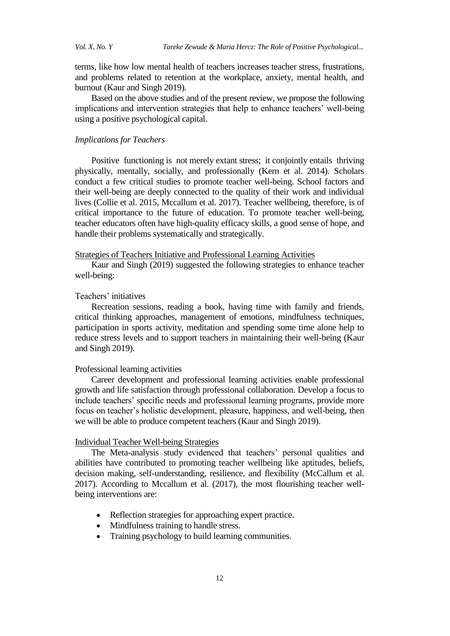terms, like how low mental health of teachers increases teacher stress, frustrations, and problems related to retention at the workplace, anxiety, mental health, and burnout (Kaur and Singh 2019).

Based on the above studies and of the present review, we propose the following implications and intervention strategies that help to enhance teachers' well-being using a positive psychological capital.

#### *Implications for Teachers*

Positive functioning is not merely extant stress; it conjointly entails thriving physically, mentally, socially, and professionally (Kern et al. 2014). Scholars conduct a few critical studies to promote teacher well-being. School factors and their well-being are deeply connected to the quality of their work and individual lives (Collie et al. 2015, Mccallum et al. 2017). Teacher wellbeing, therefore, is of critical importance to the future of education. To promote teacher well-being, teacher educators often have high-quality efficacy skills, a good sense of hope, and handle their problems systematically and strategically.

#### Strategies of Teachers Initiative and Professional Learning Activities

Kaur and Singh (2019) suggested the following strategies to enhance teacher well-being:

## Teachers' initiatives

Recreation sessions, reading a book, having time with family and friends, critical thinking approaches, management of emotions, mindfulness techniques, participation in sports activity, meditation and spending some time alone help to reduce stress levels and to support teachers in maintaining their well-being (Kaur and Singh 2019).

## Professional learning activities

Career development and professional learning activities enable professional growth and life satisfaction through professional collaboration. Develop a focus to include teachers' specific needs and professional learning programs, provide more focus on teacher"s holistic development, pleasure, happiness, and well-being, then we will be able to produce competent teachers (Kaur and Singh 2019).

#### Individual Teacher Well-being Strategies

The Meta-analysis study evidenced that teachers' personal qualities and abilities have contributed to promoting teacher wellbeing like aptitudes, beliefs, decision making, self-understanding, resilience, and flexibility (McCallum et al. 2017). According to Mccallum et al. (2017), the most flourishing teacher wellbeing interventions are:

- Reflection strategies for approaching expert practice.
- Mindfulness training to handle stress.
- Training psychology to build learning communities.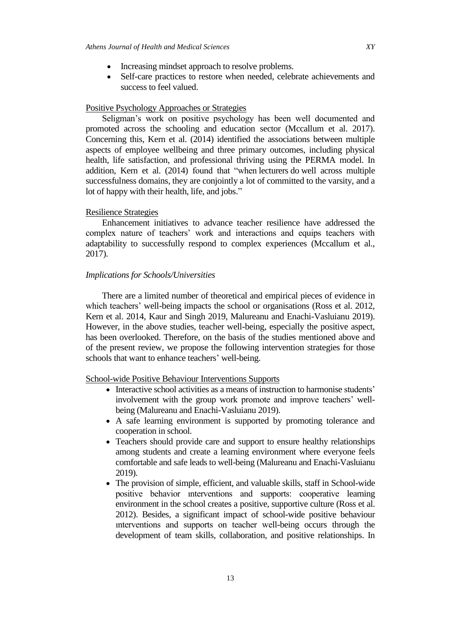- Increasing mindset approach to resolve problems.
- Self-care practices to restore when needed, celebrate achievements and success to feel valued.

## Positive Psychology Approaches or Strategies

Seligman's work on positive psychology has been well documented and promoted across the schooling and education sector (Mccallum et al. 2017). Concerning this, Kern et al. (2014) identified the associations between multiple aspects of employee wellbeing and three primary outcomes, including physical health, life satisfaction, and professional thriving using the PERMA model. In addition, Kern et al. (2014) found that "when lecturers do well across multiple successfulness domains, they are conjointly a lot of committed to the varsity, and a lot of happy with their health, life, and jobs."

### Resilience Strategies

Enhancement initiatives to advance teacher resilience have addressed the complex nature of teachers' work and interactions and equips teachers with adaptability to successfully respond to complex experiences (Mccallum et al., 2017).

#### *Implications for Schools/Universities*

There are a limited number of theoretical and empirical pieces of evidence in which teachers' well-being impacts the school or organisations (Ross et al. 2012, Kern et al. 2014, Kaur and Singh 2019, Malureanu and Enachi-Vasluianu 2019). However, in the above studies, teacher well-being, especially the positive aspect, has been overlooked. Therefore, on the basis of the studies mentioned above and of the present review, we propose the following intervention strategies for those schools that want to enhance teachers' well-being.

#### School-wide Positive Behaviour Interventions Supports

- Interactive school activities as a means of instruction to harmonise students' involvement with the group work promote and improve teachers' wellbeing (Malureanu and Enachi-Vasluianu 2019).
- A safe learning environment is supported by promoting tolerance and cooperation in school.
- Teachers should provide care and support to ensure healthy relationships among students and create a learning environment where everyone feels comfortable and safe leads to well-being (Malureanu and Enachi-Vasluianu 2019).
- The provision of simple, efficient, and valuable skills, staff in School-wide positive behavior ınterventions and supports: cooperative learning environment in the school creates a positive, supportive culture (Ross et al. 2012). Besides, a significant impact of school-wide positive behaviour ınterventions and supports on teacher well-being occurs through the development of team skills, collaboration, and positive relationships. In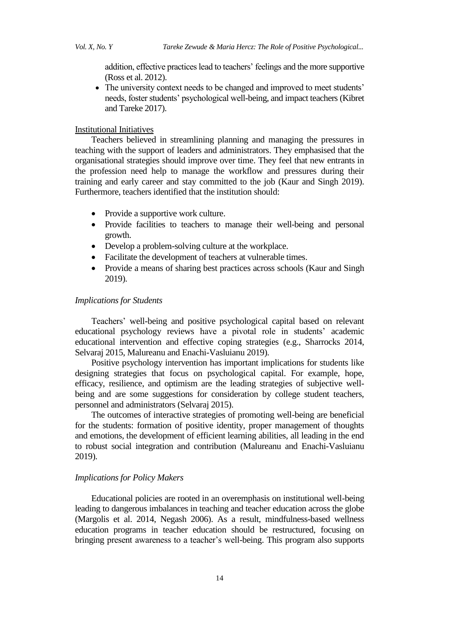addition, effective practices lead to teachers' feelings and the more supportive (Ross et al. 2012).

• The university context needs to be changed and improved to meet students' needs, foster students" psychological well-being, and impact teachers (Kibret and Tareke 2017).

## Institutional Initiatives

Teachers believed in streamlining planning and managing the pressures in teaching with the support of leaders and administrators. They emphasised that the organisational strategies should improve over time. They feel that new entrants in the profession need help to manage the workflow and pressures during their training and early career and stay committed to the job (Kaur and Singh 2019). Furthermore, teachers identified that the institution should:

- Provide a supportive work culture.
- Provide facilities to teachers to manage their well-being and personal growth.
- Develop a problem-solving culture at the workplace.
- Facilitate the development of teachers at vulnerable times.
- Provide a means of sharing best practices across schools (Kaur and Singh 2019).

#### *Implications for Students*

Teachers" well-being and positive psychological capital based on relevant educational psychology reviews have a pivotal role in students' academic educational intervention and effective coping strategies (e.g., Sharrocks 2014, Selvaraj 2015, Malureanu and Enachi-Vasluianu 2019).

Positive psychology intervention has important implications for students like designing strategies that focus on psychological capital. For example, hope, efficacy, resilience, and optimism are the leading strategies of subjective wellbeing and are some suggestions for consideration by college student teachers, personnel and administrators (Selvaraj 2015).

The outcomes of interactive strategies of promoting well-being are beneficial for the students: formation of positive identity, proper management of thoughts and emotions, the development of efficient learning abilities, all leading in the end to robust social integration and contribution (Malureanu and Enachi-Vasluianu 2019).

## *Implications for Policy Makers*

Educational policies are rooted in an overemphasis on institutional well-being leading to dangerous imbalances in teaching and teacher education across the globe (Margolis et al. 2014, Negash 2006). As a result, mindfulness-based wellness education programs in teacher education should be restructured, focusing on bringing present awareness to a teacher"s well-being. This program also supports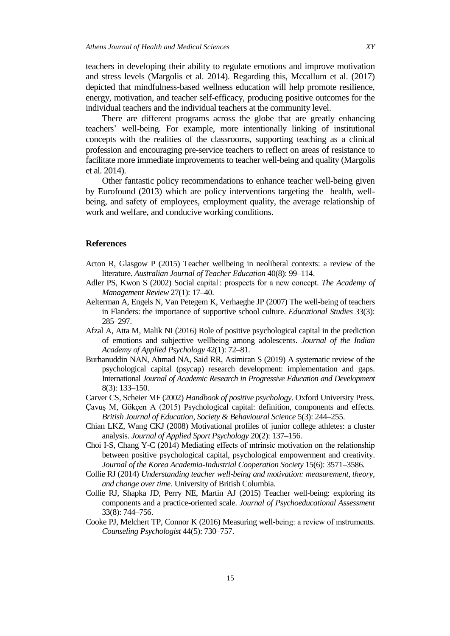teachers in developing their ability to regulate emotions and improve motivation and stress levels (Margolis et al. 2014). Regarding this, Mccallum et al. (2017) depicted that mindfulness-based wellness education will help promote resilience, energy, motivation, and teacher self-efficacy, producing positive outcomes for the individual teachers and the individual teachers at the community level.

There are different programs across the globe that are greatly enhancing teachers" well-being. For example, more intentionally linking of institutional concepts with the realities of the classrooms, supporting teaching as a clinical profession and encouraging pre-service teachers to reflect on areas of resistance to facilitate more immediate improvements to teacher well-being and quality (Margolis et al. 2014).

Other fantastic policy recommendations to enhance teacher well-being given by Eurofound (2013) which are policy interventions targeting the health, wellbeing, and safety of employees, employment quality, the average relationship of work and welfare, and conducive working conditions.

#### **References**

- Acton R, Glasgow P (2015) Teacher wellbeing in neoliberal contexts: a review of the literature. *Australian Journal of Teacher Education* 40(8): 99–114.
- Adler PS, Kwon S (2002) Social capital : prospects for a new concept. *The Academy of Management Review* 27(1): 17–40.
- Aelterman A, Engels N, Van Petegem K, Verhaeghe JP (2007) The well-being of teachers in Flanders: the importance of supportive school culture. *Educational Studies* 33(3): 285–297.
- Afzal A, Atta M, Malik NI (2016) Role of positive psychological capital in the prediction of emotions and subjective wellbeing among adolescents. *Journal of the Indian Academy of Applied Psychology* 42(1): 72–81.
- Burhanuddin NAN, Ahmad NA, Said RR, Asimiran S (2019) A systematic review of the psychological capital (psycap) research development: implementation and gaps. International *Journal of Academic Research in Progressive Education and Development* 8(3): 133–150.
- Carver CS, Scheier MF (2002) *Handbook of positive psychology*. Oxford University Press.
- Çavuş M, Gökçen A (2015) Psychological capital: definition, components and effects. *British Journal of Education, Society & Behavioural Science* 5(3): 244–255.
- Chian LKZ, Wang CKJ (2008) Motivational profiles of junior college athletes: a cluster analysis. *Journal of Applied Sport Psychology* 20(2): 137–156.
- Choi I-S, Chang Y-C (2014) Mediating effects of ıntrinsic motivation on the relationship between positive psychological capital, psychological empowerment and creativity. *Journal of the Korea Academia-Industrial Cooperation Society* 15(6): 3571–3586.
- Collie RJ (2014) *Understanding teacher well-being and motivation: measurement, theory, and change over time*. University of British Columbia.
- Collie RJ, Shapka JD, Perry NE, Martin AJ (2015) Teacher well-being: exploring its components and a practice-oriented scale. *Journal of Psychoeducational Assessment* 33(8): 744–756.
- Cooke PJ, Melchert TP, Connor K (2016) Measuring well-being: a review of ınstruments. *Counseling Psychologist* 44(5): 730–757.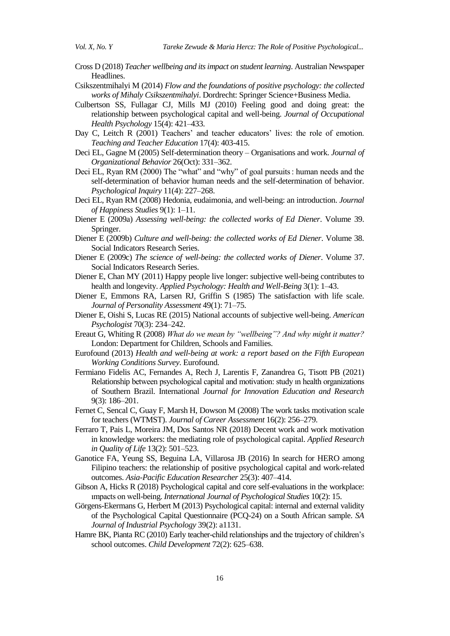- Cross D (2018) *Teacher wellbeing and its impact on student learning*. Australian Newspaper Headlines.
- Csikszentmihalyi M (2014) *Flow and the foundations of positive psychology: the collected works of Mihaly Csikszentmihalyi*. Dordrecht: Springer Science+Business Media.
- Culbertson SS, Fullagar CJ, Mills MJ (2010) Feeling good and doing great: the relationship between psychological capital and well-being. *Journal of Occupational Health Psychology* 15(4): 421–433.
- Day C, Leitch R (2001) Teachers' and teacher educators' lives: the role of emotion. *Teaching and Teacher Education* 17(4): 403-415.
- Deci EL, Gagne M (2005) Self-determination theory Organisations and work. *Journal of Organizational Behavior* 26(Oct): 331–362.
- Deci EL, Ryan RM (2000) The "what" and "why" of goal pursuits : human needs and the self-determination of behavior human needs and the self-determination of behavior. *Psychological Inquiry* 11(4): 227–268.
- Deci EL, Ryan RM (2008) Hedonia, eudaimonia, and well-being: an introduction. *Journal of Happiness Studies* 9(1): 1–11.
- Diener E (2009a) *Assessing well-being: the collected works of Ed Diener*. Volume 39. Springer.
- Diener E (2009b) *Culture and well-being: the collected works of Ed Diener*. Volume 38. Social Indicators Research Series.
- Diener E (2009c) *The science of well-being: the collected works of Diener*. Volume 37. Social Indicators Research Series.
- Diener E, Chan MY (2011) Happy people live longer: subjective well-being contributes to health and longevity. *Applied Psychology: Health and Well-Being* 3(1): 1–43.
- Diener E, Emmons RA, Larsen RJ, Griffin S (1985) The satisfaction with life scale. *Journal of Personality Assessment* 49(1): 71–75.
- Diener E, Oishi S, Lucas RE (2015) National accounts of subjective well-being. *American Psychologist* 70(3): 234–242.
- Ereaut G, Whiting R (2008) *What do we mean by "wellbeing"? And why might it matter?* London: Department for Children, Schools and Families.
- Eurofound (2013) *Health and well-being at work: a report based on the Fifth European Working Conditions Survey*. Eurofound.
- Fermiano Fidelis AC, Fernandes A, Rech J, Larentis F, Zanandrea G, Tisott PB (2021) Relationship between psychological capital and motivation: study ın health organizations of Southern Brazil. International *Journal for Innovation Education and Research* 9(3): 186–201.
- Fernet C, Sencal C, Guay F, Marsh H, Dowson M (2008) The work tasks motivation scale for teachers (WTMST). *Journal of Career Assessment* 16(2): 256–279.
- Ferraro T, Pais L, Moreira JM, Dos Santos NR (2018) Decent work and work motivation in knowledge workers: the mediating role of psychological capital. *Applied Research in Quality of Life* 13(2): 501–523.
- Ganotice FA, Yeung SS, Beguina LA, Villarosa JB (2016) In search for HERO among Filipino teachers: the relationship of positive psychological capital and work-related outcomes. *Asia-Pacific Education Researcher* 25(3): 407–414.
- Gibson A, Hicks R (2018) Psychological capital and core self-evaluations in the workplace: ımpacts on well-being. *International Journal of Psychological Studies* 10(2): 15.
- Görgens-Ekermans G, Herbert M (2013) Psychological capital: internal and external validity of the Psychological Capital Questionnaire (PCQ-24) on a South African sample. *SA Journal of Industrial Psychology* 39(2): a1131.
- Hamre BK, Pianta RC (2010) Early teacher-child relationships and the trajectory of children"s school outcomes. *Child Development* 72(2): 625–638.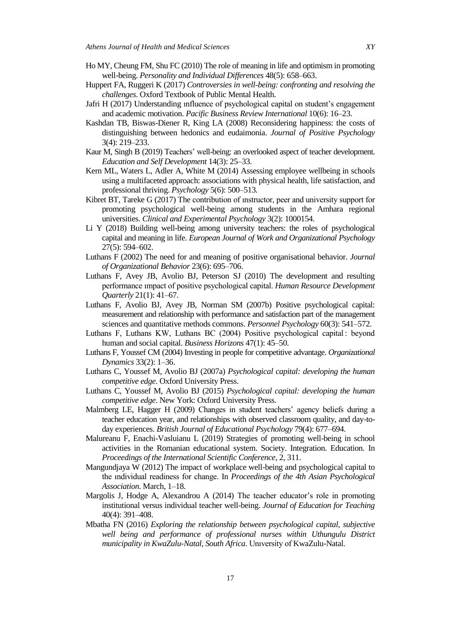- Ho MY, Cheung FM, Shu FC (2010) The role of meaning in life and optimism in promoting well-being. *Personality and Individual Differences* 48(5): 658–663.
- Huppert FA, Ruggeri K (2017) *Controversies in well-being: confronting and resolving the challenges*. Oxford Textbook of Public Mental Health.
- Jafri H (2017) Understanding ınfluence of psychological capital on student"s engagement and academic motivation. *Pacific Business Review International* 10(6): 16–23.
- Kashdan TB, Biswas-Diener R, King LA (2008) Reconsidering happiness: the costs of distinguishing between hedonics and eudaimonia. *Journal of Positive Psychology* 3(4): 219–233.
- Kaur M, Singh B (2019) Teachers" well-being: an overlooked aspect of teacher development. *Education and Self Development* 14(3): 25–33.
- Kern ML, Waters L, Adler A, White M (2014) Assessing employee wellbeing in schools using a multifaceted approach: associations with physical health, life satisfaction, and professional thriving. *Psychology* 5(6): 500–513.
- Kibret BT, Tareke G (2017) The contribution of ınstructor, peer and university support for promoting psychological well-being among students in the Amhara regional universities. *Clinical and Experimental Psychology* 3(2): 1000154.
- Li Y (2018) Building well-being among university teachers: the roles of psychological capital and meaning in life. *European Journal of Work and Organizational Psychology* 27(5): 594–602.
- Luthans F (2002) The need for and meaning of positive organisational behavior. *Journal of Organizational Behavior* 23(6): 695–706.
- Luthans F, Avey JB, Avolio BJ, Peterson SJ (2010) The development and resulting performance ımpact of positive psychological capital. *Human Resource Development Quarterly* 21(1): 41–67.
- Luthans F, Avolio BJ, Avey JB, Norman SM (2007b) Positive psychological capital: measurement and relationship with performance and satisfaction part of the management sciences and quantitative methods commons. *Personnel Psychology* 60(3): 541–572.
- Luthans F, Luthans KW, Luthans BC (2004) Positive psychological capital : beyond human and social capital. *Business Horizons* 47(1): 45–50.
- Luthans F, Youssef CM (2004) Investing in people for competitive advantage. *Organizational Dynamics* 33(2): 1–36.
- Luthans C, Youssef M, Avolio BJ (2007a) *Psychological capital: developing the human competitive edge*. Oxford University Press.
- Luthans C, Youssef M, Avolio BJ (2015) *Psychological capital: developing the human competitive edge*. New York: Oxford University Press.
- Malmberg LE, Hagger H (2009) Changes in student teachers" agency beliefs during a teacher education year, and relationships with observed classroom quality, and day-today experiences. *British Journal of Educational Psychology* 79(4): 677–694.
- Malureanu F, Enachi-Vasluianu L (2019) Strategies of promoting well-being in school activities in the Romanian educational system. Society. Integration. Education. In *Proceedings of the International Scientific Conference*, 2, 311.
- Mangundjaya W (2012) The impact of workplace well-being and psychological capital to the ındividual readiness for change. In *Proceedings of the 4th Asian Psychological Association*. March, 1–18.
- Margolis J, Hodge A, Alexandrou A  $(2014)$  The teacher educator's role in promoting institutional versus individual teacher well-being. *Journal of Education for Teaching* 40(4): 391–408.
- Mbatha FN (2016) *Exploring the relationship between psychological capital, subjective*  well being and performance of professional nurses within Uthungulu District *municipality in KwaZulu-Natal, South Africa*. Unıversity of KwaZulu-Natal.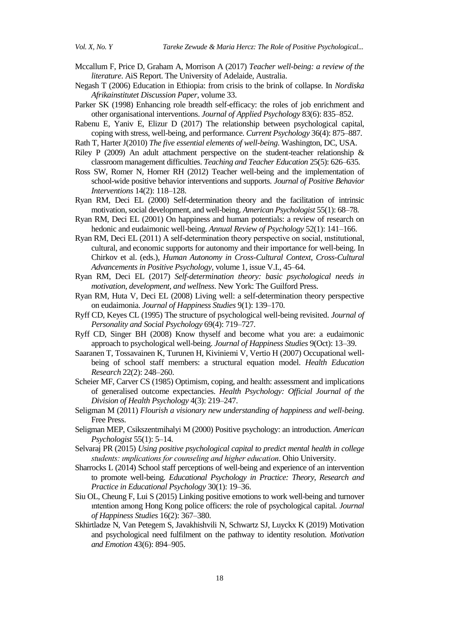- Mccallum F, Price D, Graham A, Morrison A (2017) *Teacher well-being: a review of the literature*. AiS Report. The University of Adelaide, Australia.
- Negash T (2006) Education in Ethiopia: from crisis to the brink of collapse. In *Nordiska Afrikainstitutet Discussion Paper*, volume 33.
- Parker SK (1998) Enhancing role breadth self-efficacy: the roles of job enrichment and other organisational interventions. *Journal of Applied Psychology* 83(6): 835–852.
- Rabenu E, Yaniv E, Elizur D (2017) The relationship between psychological capital, coping with stress, well-being, and performance. *Current Psychology* 36(4): 875–887.
- Rath T, Harter J(2010) *The five essential elements of well-being*. Washington, DC, USA.
- Riley P (2009) An adult attachment perspective on the student-teacher relationship  $\&$ classroom management difficulties. *Teaching and Teacher Education* 25(5): 626–635.
- Ross SW, Romer N, Horner RH (2012) Teacher well-being and the implementation of school-wide positive behavior interventions and supports. *Journal of Positive Behavior Interventions* 14(2): 118–128.
- Ryan RM, Deci EL (2000) Self-determination theory and the facilitation of intrinsic motivation, social development, and well-being. *American Psychologist* 55(1): 68–78.
- Ryan RM, Deci EL (2001) On happiness and human potentials: a review of research on hedonic and eudaimonic well-being. *Annual Review of Psychology* 52(1): 141–166.
- Ryan RM, Deci EL (2011) A self-determination theory perspective on social, ınstitutional, cultural, and economic supports for autonomy and their importance for well-being. In Chirkov et al. (eds.), *Human Autonomy in Cross-Cultural Context, Cross-Cultural Advancements in Positive Psychology*, volume 1, issue V.I., 45–64.
- Ryan RM, Deci EL (2017) *Self-determination theory: basic psychological needs in motivation, development, and wellness*. New York: The Guilford Press.
- Ryan RM, Huta V, Deci EL (2008) Living well: a self-determination theory perspective on eudaimonia. *Journal of Happiness Studies* 9(1): 139–170.
- Ryff CD, Keyes CL (1995) The structure of psychological well-being revisited. *Journal of Personality and Social Psychology* 69(4): 719–727.
- Ryff CD, Singer BH (2008) Know thyself and become what you are: a eudaimonic approach to psychological well-being. *Journal of Happiness Studies* 9(Oct): 13–39.
- Saaranen T, Tossavainen K, Turunen H, Kiviniemi V, Vertio H (2007) Occupational wellbeing of school staff members: a structural equation model. *Health Education Research* 22(2): 248–260.
- Scheier MF, Carver CS (1985) Optimism, coping, and health: assessment and implications of generalised outcome expectancies. *Health Psychology: Official Journal of the Division of Health Psychology* 4(3): 219–247.
- Seligman M (2011) *Flourish a visionary new understanding of happiness and well-being*. Free Press.
- Seligman MEP, Csikszentmihalyi M (2000) Positive psychology: an introduction. *American Psychologist* 55(1): 5–14.
- Selvaraj PR (2015) *Using positive psychological capital to predict mental health in college students: ımplications for counseling and higher education*. Ohio University.
- Sharrocks L (2014) School staff perceptions of well-being and experience of an intervention to promote well-being. *Educational Psychology in Practice: Theory, Research and Practice in Educational Psychology* 30(1): 19–36.
- Siu OL, Cheung F, Lui S (2015) Linking positive emotions to work well-being and turnover ıntention among Hong Kong police officers: the role of psychological capital. *Journal of Happiness Studies* 16(2): 367–380.
- Skhirtladze N, Van Petegem S, Javakhishvili N, Schwartz SJ, Luyckx K (2019) Motivation and psychological need fulfilment on the pathway to identity resolution. *Motivation and Emotion* 43(6): 894–905.